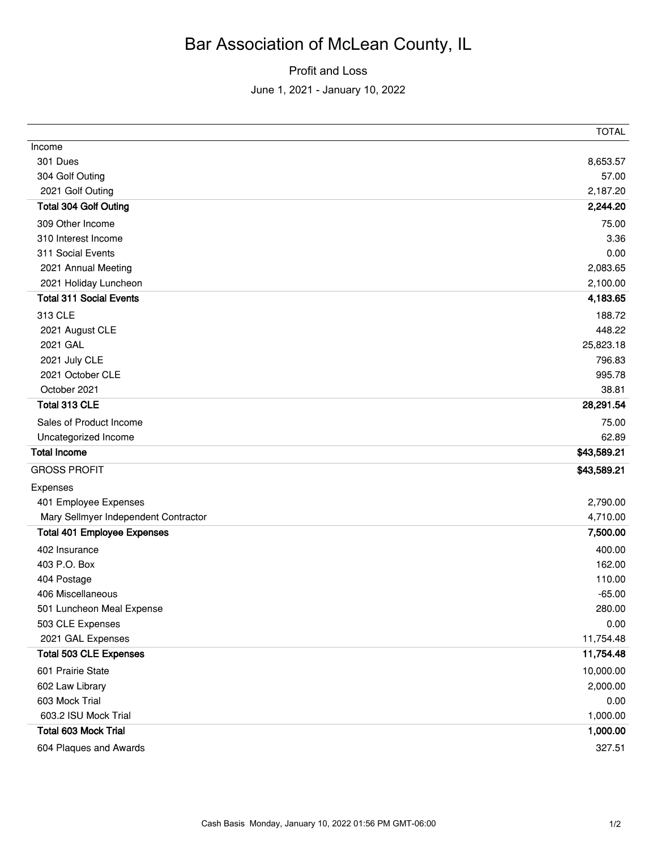## Bar Association of McLean County, IL

Profit and Loss

June 1, 2021 - January 10, 2022

|                                      | TOTAL       |
|--------------------------------------|-------------|
| Income                               |             |
| 301 Dues                             | 8,653.57    |
| 304 Golf Outing                      | 57.00       |
| 2021 Golf Outing                     | 2,187.20    |
| <b>Total 304 Golf Outing</b>         | 2,244.20    |
| 309 Other Income                     | 75.00       |
| 310 Interest Income                  | 3.36        |
| 311 Social Events                    | 0.00        |
| 2021 Annual Meeting                  | 2,083.65    |
| 2021 Holiday Luncheon                | 2,100.00    |
| <b>Total 311 Social Events</b>       | 4,183.65    |
| 313 CLE                              | 188.72      |
| 2021 August CLE                      | 448.22      |
| 2021 GAL                             | 25,823.18   |
| 2021 July CLE                        | 796.83      |
| 2021 October CLE                     | 995.78      |
| October 2021                         | 38.81       |
| Total 313 CLE                        | 28,291.54   |
| Sales of Product Income              | 75.00       |
| Uncategorized Income                 | 62.89       |
| <b>Total Income</b>                  | \$43,589.21 |
| <b>GROSS PROFIT</b>                  | \$43,589.21 |
| Expenses                             |             |
| 401 Employee Expenses                | 2,790.00    |
| Mary Sellmyer Independent Contractor | 4,710.00    |
| <b>Total 401 Employee Expenses</b>   | 7,500.00    |
| 402 Insurance                        | 400.00      |
| 403 P.O. Box                         | 162.00      |
| 404 Postage                          | 110.00      |
| 406 Miscellaneous                    | $-65.00$    |
| 501 Luncheon Meal Expense            | 280.00      |
| 503 CLE Expenses                     | 0.00        |
| 2021 GAL Expenses                    | 11,754.48   |
| <b>Total 503 CLE Expenses</b>        | 11,754.48   |
| 601 Prairie State                    | 10,000.00   |
| 602 Law Library                      | 2,000.00    |
| 603 Mock Trial                       | 0.00        |
| 603.2 ISU Mock Trial                 | 1,000.00    |
| <b>Total 603 Mock Trial</b>          | 1,000.00    |
| 604 Plaques and Awards               | 327.51      |
|                                      |             |